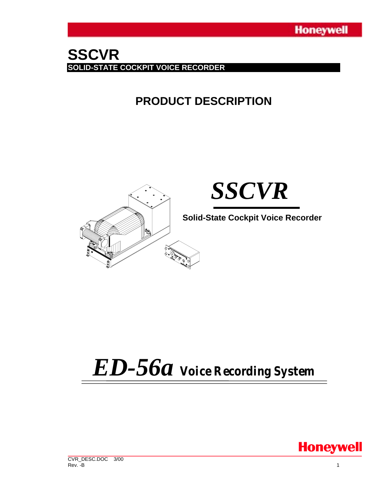## **SSCVR SOLID-STATE COCKPIT VOICE RECORDER**

# **PRODUCT DESCRIPTION**



# *ED-56a Voice Recording System*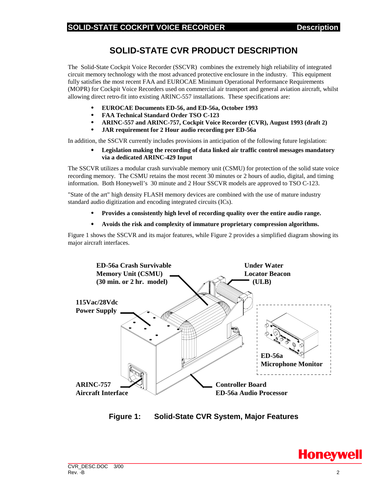### **SOLID-STATE CVR PRODUCT DESCRIPTION**

The Solid-State Cockpit Voice Recorder (SSCVR) combines the extremely high reliability of integrated circuit memory technology with the most advanced protective enclosure in the industry. This equipment fully satisfies the most recent FAA and EUROCAE Minimum Operational Performance Requirements (MOPR) for Cockpit Voice Recorders used on commercial air transport and general aviation aircraft, whilst allowing direct retro-fit into existing ARINC-557 installations. These specifications are:

- **EUROCAE Documents ED-56, and ED-56a, October 1993**
- **FAA Technical Standard Order TSO C-123**
- **ARINC-557 and ARINC-757, Cockpit Voice Recorder (CVR), August 1993 (draft 2)**
- **JAR requirement for 2 Hour audio recording per ED-56a**

In addition, the SSCVR currently includes provisions in anticipation of the following future legislation:

• **Legislation making the recording of data linked air traffic control messages mandatory via a dedicated ARINC-429 Input**

The SSCVR utilizes a modular crash survivable memory unit (CSMU) for protection of the solid state voice recording memory. The CSMU retains the most recent 30 minutes or 2 hours of audio, digital, and timing information. Both Honeywell's 30 minute and 2 Hour SSCVR models are approved to TSO C-123.

"State of the art" high density FLASH memory devices are combined with the use of mature industry standard audio digitization and encoding integrated circuits (ICs).

- **Provides a consistently high level of recording quality over the entire audio range.**
- **Avoids the risk and complexity of immature proprietary compression algorithms.**

Figure 1 shows the SSCVR and its major features, while Figure 2 provides a simplified diagram showing its major aircraft interfaces.



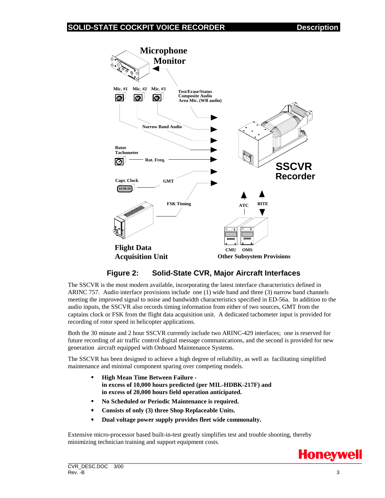

#### **Figure 2: Solid-State CVR, Major Aircraft Interfaces**

The SSCVR is the most modern available, incorporating the latest interface characteristics defined in ARINC 757. Audio interface provisions include one (1) wide band and three (3) narrow band channels meeting the improved signal to noise and bandwidth characteristics specified in ED-56a. In addition to the audio inputs, the SSCVR also records timing information from either of two sources, GMT from the captains clock or FSK from the flight data acquisition unit. A dedicated tachometer input is provided for recording of rotor speed in helicopter applications.

Both the 30 minute and 2 hour SSCVR currently include two ARINC-429 interfaces; one is reserved for future recording of air traffic control digital message communications, and the second is provided for new generation aircraft equipped with Onboard Maintenance Systems.

The SSCVR has been designed to achieve a high degree of reliability, as well as facilitating simplified maintenance and minimal component sparing over competing models.

- **High Mean Time Between Failure in excess of 10,000 hours predicted (per MIL-HDBK-217F) and in excess of 20,000 hours field operation anticipated.**
- **No Scheduled or Periodic Maintenance is required.**
- **Consists of only (3) three Shop Replaceable Units.**
- **Dual voltage power supply provides fleet wide commonalty.**

Extensive micro-processor based built-in-test greatly simplifies test and trouble shooting, thereby minimizing technician training and support equipment costs.

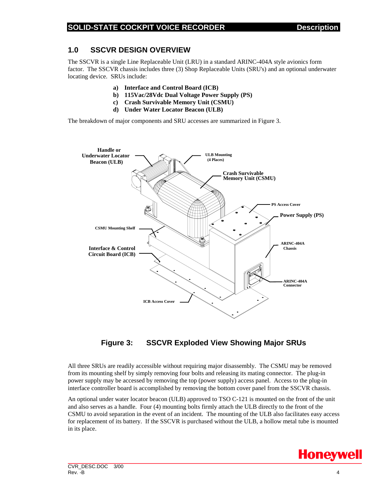#### **1.0 SSCVR DESIGN OVERVIEW**

The SSCVR is a single Line Replaceable Unit (LRU) in a standard ARINC-404A style avionics form factor. The SSCVR chassis includes three (3) Shop Replaceable Units (SRU's) and an optional underwater locating device. SRUs include:

- **a) Interface and Control Board (ICB)**
- **b) 115Vac/28Vdc Dual Voltage Power Supply (PS)**
- **c) Crash Survivable Memory Unit (CSMU)**
- **d) Under Water Locator Beacon (ULB)**

The breakdown of major components and SRU accesses are summarized in Figure 3.



#### **Figure 3: SSCVR Exploded View Showing Major SRUs**

All three SRUs are readily accessible without requiring major disassembly. The CSMU may be removed from its mounting shelf by simply removing four bolts and releasing its mating connector. The plug-in power supply may be accessed by removing the top (power supply) access panel. Access to the plug-in interface controller board is accomplished by removing the bottom cover panel from the SSCVR chassis.

An optional under water locator beacon (ULB) approved to TSO C-121 is mounted on the front of the unit and also serves as a handle. Four (4) mounting bolts firmly attach the ULB directly to the front of the CSMU to avoid separation in the event of an incident. The mounting of the ULB also facilitates easy access for replacement of its battery. If the SSCVR is purchased without the ULB, a hollow metal tube is mounted in its place.

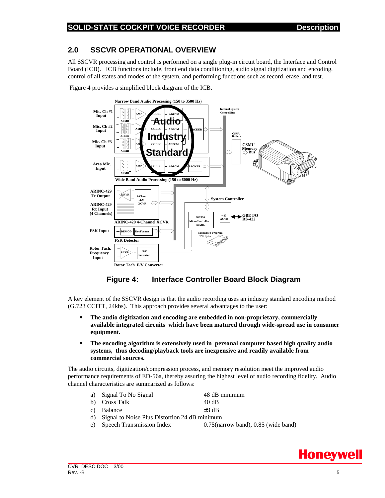#### **2.0 SSCVR OPERATIONAL OVERVIEW**

All SSCVR processing and control is performed on a single plug-in circuit board, the Interface and Control Board (ICB). ICB functions include, front end data conditioning, audio signal digitization and encoding, control of all states and modes of the system, and performing functions such as record, erase, and test.

Figure 4 provides a simplified block diagram of the ICB.



#### **Figure 4: Interface Controller Board Block Diagram**

A key element of the SSCVR design is that the audio recording uses an industry standard encoding method (G.723 CCITT, 24kbs). This approach provides several advantages to the user:

- **The audio digitization and encoding are embedded in non-proprietary, commercially available integrated circuits which have been matured through wide-spread use in consumer equipment.**
- **The encoding algorithm is extensively used in personal computer based high quality audio systems, thus decoding/playback tools are inexpensive and readily available from commercial sources.**

The audio circuits, digitization/compression process, and memory resolution meet the improved audio performance requirements of ED-56a, thereby assuring the highest level of audio recording fidelity. Audio channel characteristics are summarized as follows:

- a) Signal To No Signal 48 dB minimum
- b) Cross Talk 40 dB
- c) Balance  $\pm 3$  dB
- d) Signal to Noise Plus Distortion 24 dB minimum
- e) Speech Transmission Index 0.75(narrow band), 0.85 (wide band)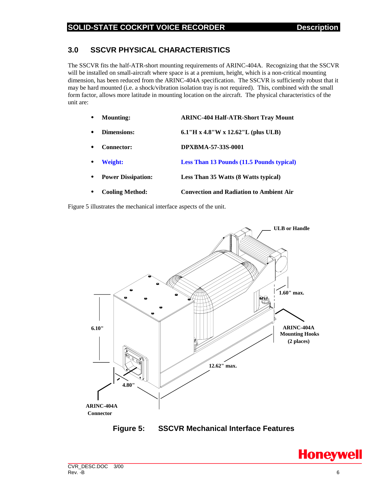#### **3.0 SSCVR PHYSICAL CHARACTERISTICS**

The SSCVR fits the half-ATR-short mounting requirements of ARINC-404A. Recognizing that the SSCVR will be installed on small-aircraft where space is at a premium, height, which is a non-critical mounting dimension, has been reduced from the ARINC-404A specification. The SSCVR is sufficiently robust that it may be hard mounted (i.e. a shock/vibration isolation tray is not required). This, combined with the small form factor, allows more latitude in mounting location on the aircraft. The physical characteristics of the unit are:

- **Mounting: ARINC-404 Half-ATR-Short Tray Mount**
- **Dimensions: 6.1"H x 4.8"W x 12.62"L (plus ULB)**
- **Connector: DPXBMA-57-33S-0001**
- **Weight: Less Than 13 Pounds (11.5 Pounds typical)**
- **Power Dissipation: Less Than 35 Watts (8 Watts typical)**
- **Cooling Method: Convection and Radiation to Ambient Air**

Figure 5 illustrates the mechanical interface aspects of the unit.



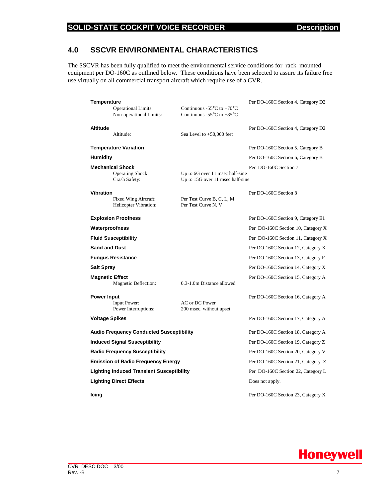#### **SOLID-STATE COCKPIT VOICE RECORDER Description**

#### **4.0 SSCVR ENVIRONMENTAL CHARACTERISTICS**

The SSCVR has been fully qualified to meet the environmental service conditions for rack mounted equipment per DO-160C as outlined below. These conditions have been selected to assure its failure free use virtually on all commercial transport aircraft which require use of a CVR.

| Temperature                                                       |                                                                     |                                                                                                                            | Per DO-160C Section 4, Category D2 |  |  |  |
|-------------------------------------------------------------------|---------------------------------------------------------------------|----------------------------------------------------------------------------------------------------------------------------|------------------------------------|--|--|--|
|                                                                   | <b>Operational Limits:</b><br>Non-operational Limits:               | Continuous -55 $\rm{^{\circ}C}$ to +70 $\rm{^{\circ}C}$<br>Continuous -55 $\mathrm{^{\circ}C}$ to +85 $\mathrm{^{\circ}C}$ |                                    |  |  |  |
| <b>Altitude</b>                                                   | Altitude:                                                           | Sea Level to $+50,000$ feet                                                                                                | Per DO-160C Section 4, Category D2 |  |  |  |
|                                                                   | <b>Temperature Variation</b>                                        |                                                                                                                            | Per DO-160C Section 5, Category B  |  |  |  |
| Humidity                                                          |                                                                     |                                                                                                                            | Per DO-160C Section 6, Category B  |  |  |  |
|                                                                   | <b>Mechanical Shock</b><br><b>Operating Shock:</b><br>Crash Safety: | Up to 6G over 11 msec half-sine<br>Up to 15G over 11 msec half-sine                                                        | Per DO-160C Section 7              |  |  |  |
| <b>Vibration</b><br>Fixed Wing Aircraft:<br>Helicopter Vibration: |                                                                     | Per Test Curve B, C, L, M<br>Per Test Curve N, V                                                                           | Per DO-160C Section 8              |  |  |  |
|                                                                   | <b>Explosion Proofness</b>                                          | Per DO-160C Section 9, Category E1                                                                                         |                                    |  |  |  |
| Waterproofness                                                    |                                                                     | Per DO-160C Section 10, Category X                                                                                         |                                    |  |  |  |
|                                                                   | <b>Fluid Susceptibility</b>                                         | Per DO-160C Section 11, Category X                                                                                         |                                    |  |  |  |
| <b>Sand and Dust</b>                                              |                                                                     |                                                                                                                            | Per DO-160C Section 12, Category X |  |  |  |
|                                                                   | <b>Fungus Resistance</b>                                            |                                                                                                                            | Per DO-160C Section 13, Category F |  |  |  |
| Salt Spray                                                        |                                                                     |                                                                                                                            | Per DO-160C Section 14, Category X |  |  |  |
| <b>Magnetic Effect</b><br>Magnetic Deflection:                    |                                                                     | 0.3-1.0m Distance allowed                                                                                                  | Per DO-160C Section 15, Category A |  |  |  |
| <b>Power Input</b>                                                | Input Power:<br>Power Interruptions:                                | AC or DC Power<br>200 msec. without upset.                                                                                 | Per DO-160C Section 16, Category A |  |  |  |
| <b>Voltage Spikes</b>                                             |                                                                     | Per DO-160C Section 17, Category A                                                                                         |                                    |  |  |  |
|                                                                   | <b>Audio Frequency Conducted Susceptibility</b>                     | Per DO-160C Section 18, Category A                                                                                         |                                    |  |  |  |
| <b>Induced Signal Susceptibility</b>                              |                                                                     |                                                                                                                            | Per DO-160C Section 19, Category Z |  |  |  |
|                                                                   | <b>Radio Frequency Susceptibility</b>                               | Per DO-160C Section 20, Category V                                                                                         |                                    |  |  |  |
|                                                                   | <b>Emission of Radio Frequency Energy</b>                           | Per DO-160C Section 21, Category Z                                                                                         |                                    |  |  |  |
|                                                                   | <b>Lighting Induced Transient Susceptibility</b>                    |                                                                                                                            | Per DO-160C Section 22, Category L |  |  |  |
|                                                                   | <b>Lighting Direct Effects</b>                                      |                                                                                                                            | Does not apply.                    |  |  |  |
| Icing                                                             |                                                                     |                                                                                                                            | Per DO-160C Section 23, Category X |  |  |  |

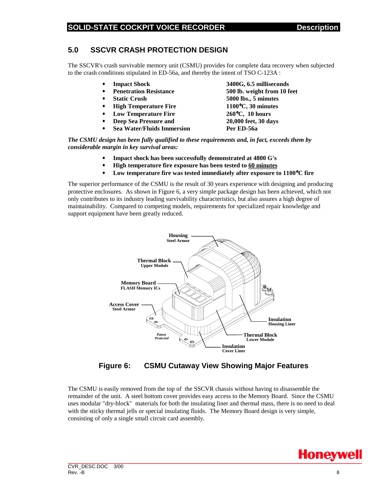#### **5.0 SSCVR CRASH PROTECTION DESIGN**

The SSCVR's crash survivable memory unit (CSMU) provides for complete data recovery when subjected to the crash conditions stipulated in ED-56a, and thereby the intent of TSO C-123A :

- 
- **Penetration Resistance 500 lb. weight from 10 feet**
- 
- **High Temperature Fire 1100**°**C, 30 minutes**
- **Low Temperature Fire 260**°**C, 10 hours**
- 
- **Sea Water/Fluids Immersion Per ED-56a**

• **Impact Shock 3400G, 6.5 milliseconds** • **Static Crush 5000 lbs., 5 minutes** • **Deep Sea Pressure and 20,000 feet, 30 days**

*The CSMU design has been fully qualified to these requirements and, in fact, exceeds them by considerable margin in key survival areas:*

- **Impact shock has been successfully demonstrated at 4800 G's**
- **High temperature fire exposure has been tested to 60 minutes**
- **Low temperature fire was tested immediately after exposure to 1100**°**C fire**

The superior performance of the CSMU is the result of 30 years experience with designing and producing protective enclosures. As shown in Figure 6, a very simple package design has been achieved, which not only contributes to its industry leading survivability characteristics, but also assures a high degree of maintainability. Compared to competing models, requirements for specialized repair knowledge and support equipment have been greatly reduced.



**Figure 6: CSMU Cutaway View Showing Major Features**

The CSMU is easily removed from the top of the SSCVR chassis without having to disassemble the remainder of the unit. A steel bottom cover provides easy access to the Memory Board. Since the CSMU uses modular "dry-block" materials for both the insulating liner and thermal mass, there is no need to deal with the sticky thermal jells or special insulating fluids. The Memory Board design is very simple, consisting of only a single small circuit card assembly.

**Honeywell**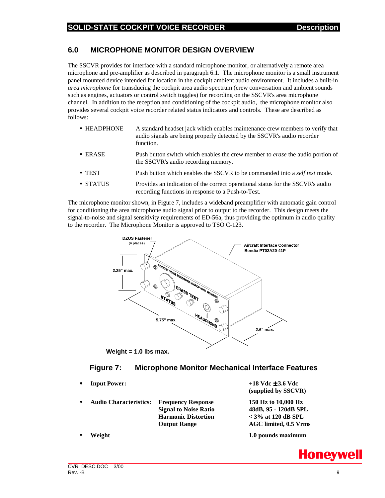#### **6.0 MICROPHONE MONITOR DESIGN OVERVIEW**

The SSCVR provides for interface with a standard microphone monitor, or alternatively a remote area microphone and pre-amplifier as described in paragraph 6.1. The microphone monitor is a small instrument panel mounted device intended for location in the cockpit ambient audio environment. It includes a built-in *area microphone* for transducing the cockpit area audio spectrum (crew conversation and ambient sounds such as engines, actuators or control switch toggles) for recording on the SSCVR's area microphone channel. In addition to the reception and conditioning of the cockpit audio, the microphone monitor also provides several cockpit voice recorder related status indicators and controls. These are described as follows:

- HEADPHONE A standard headset jack which enables maintenance crew members to verify that audio signals are being properly detected by the SSCVR's audio recorder function.
- ERASE Push button switch which enables the crew member to *erase* the audio portion of the SSCVR's audio recording memory.
- TEST Push button which enables the SSCVR to be commanded into a *self test* mode.
- STATUS Provides an indication of the correct operational status for the SSCVR's audio recording functions in response to a Push-to-Test.

The microphone monitor shown, in Figure 7, includes a wideband preamplifier with automatic gain control for conditioning the area microphone audio signal prior to output to the recorder. This design meets the signal-to-noise and signal sensitivity requirements of ED-56a, thus providing the optimum in audio quality to the recorder. The Microphone Monitor is approved to TSO C-123.



**Weight = 1.0 lbs max.**

#### **Figure 7: Microphone Monitor Mechanical Interface Features**

- 
- **Audio Characteristics: Frequency Response 150 Hz to 10,000 Hz Signal to Noise Ratio 48dB, 95 - 120dB SPL Harmonic Distortion < 3% at 120 dB SPL Output Range AGC limited, 0.5 Vrms**
- 

• **Input Power: +18 Vdc** ± **3.6 Vdc (supplied by SSCVR)**

• **Weight 1.0 pounds maximum**

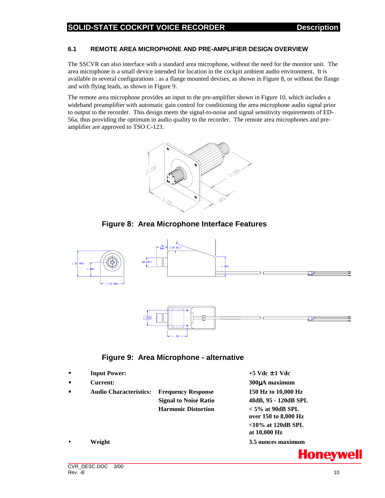#### **SOLID-STATE COCKPIT VOICE RECORDER DESCRIPTION DESCRIPTION**

#### **6.1 REMOTE AREA MICROPHONE AND PRE-AMPLIFIER DESIGN OVERVIEW**

The SSCVR can also interface with a standard area microphone, without the need for the monitor unit. The area microphone is a small device intended for location in the cockpit ambient audio environment. It is available in several configurations : as a flange mounted devises, as shown in Figure 8, or without the flange and with flying leads, as shown in Figure 9.

The remote area microphone provides an input to the pre-amplifier shown in Figure 10, which includes a wideband preamplifier with automatic gain control for conditioning the area microphone audio signal prior to output to the recorder. This design meets the signal-to-noise and signal sensitivity requirements of ED-56a, thus providing the optimum in audio quality to the recorder. The remote area microphones and preamplifier are approved to TSO C-123.



#### **Figure 8: Area Microphone Interface Features**



#### **Figure 9: Area Microphone - alternative**

| $\bullet$ | <b>Input Power:</b>           |                              | $+5$ Vdc $\pm$ 1 Vdc |  |
|-----------|-------------------------------|------------------------------|----------------------|--|
| $\bullet$ | <b>Current:</b>               |                              | 300µA maximum        |  |
| $\bullet$ | <b>Audio Characteristics:</b> | <b>Frequency Response</b>    | 150 Hz to 10,000 Hz  |  |
|           |                               | <b>Signal to Noise Ratio</b> | 48dB, 95 - 120dB SPL |  |
|           |                               | <b>Harmonic Distortion</b>   | $<$ 5% at 90dB SPL   |  |
|           |                               |                              | over 150 to 8,000 Hz |  |
|           |                               |                              | $<$ 10% at 120dB SPL |  |
|           |                               |                              | at 10,000 Hz         |  |
| $\bullet$ | Weight                        |                              | 3.5 ounces maximum   |  |

**Honeywell**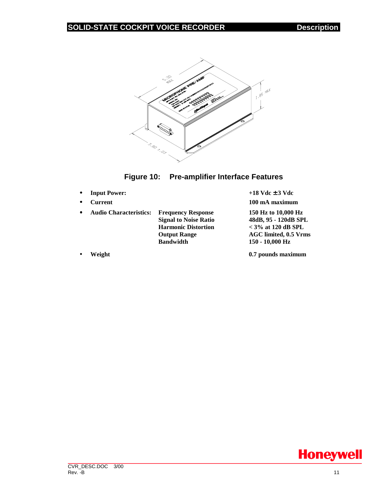



- **Input Power:**  $+18 \text{ Vdc} \pm 3 \text{ Vdc}$
- **Current 100 mA maximum**

• **Audio Characteristics: Frequency Response 150 Hz to 10,000 Hz Harmonic Distortion < 3% at 120 dB SPL Bandwidth 150 - 10,000 Hz**

**Signal to Noise Ratio 48dB, 95 - 120dB SPL Output Range AGC limited, 0.5 Vrms**

• **Weight 0.7 pounds maximum**

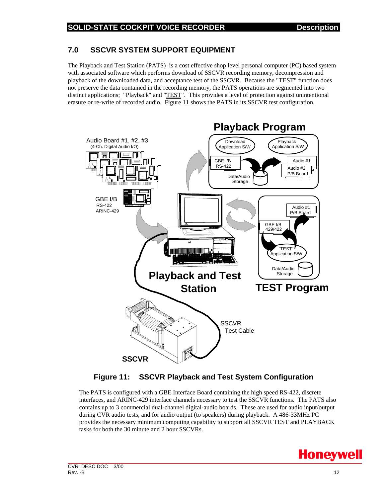#### **7.0 SSCVR SYSTEM SUPPORT EQUIPMENT**

The Playback and Test Station (PATS) is a cost effective shop level personal computer (PC) based system with associated software which performs download of SSCVR recording memory, decompression and playback of the downloaded data, and acceptance test of the SSCVR. Because the "TEST" function does not preserve the data contained in the recording memory, the PATS operations are segmented into two distinct applications; "Playback" and "TEST". This provides a level of protection against unintentional erasure or re-write of recorded audio. Figure 11 shows the PATS in its SSCVR test configuration.



#### **Figure 11: SSCVR Playback and Test System Configuration**

The PATS is configured with a GBE Interface Board containing the high speed RS-422, discrete interfaces, and ARINC-429 interface channels necessary to test the SSCVR functions. The PATS also contains up to 3 commercial dual-channel digital-audio boards. These are used for audio input/output during CVR audio tests, and for audio output (to speakers) during playback. A 486-33MHz PC provides the necessary minimum computing capability to support all SSCVR TEST and PLAYBACK tasks for both the 30 minute and 2 hour SSCVRs.